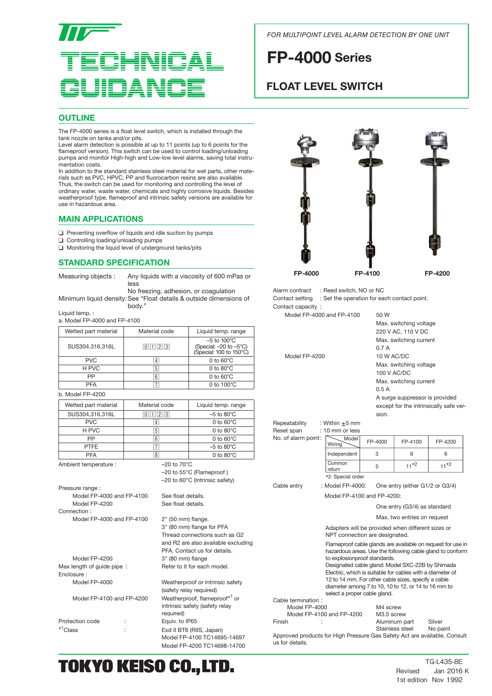# **INICAL**

*FOR MULTIPOINT LEVEL ALARM DETECTION BY ONE UNIT*

# **FP-4000 Series**

## **FLOAT LEVEL SWITCH**

### **OUTLINE**

The FP-4000 series is a float level switch, which is installed through the tank nozzle on tanks and/or pits.

Level alarm detection is possible at up to 11 points (up to 6 points for the flameproof version). This switch can be used to control loading/unloading pumps and monitor High-high and Low-low level alarms, saving total instrumentation costs.

In addition to the standard stainless steel material for wet parts, other materials such as PVC, HPVC, PP and fluorocarbon resins are also available. Thus, the switch can be used for monitoring and controlling the level of ordinary water, waste water, chemicals and highly corrosive liquids. Besides weatherproof type, flameproof and intrinsic safety versions are available for use in hazardous area.

#### **MAIN APPLICATIONS**

- $\Box$  Preventing overflow of liquids and idle suction by pumps
- ❑ Controlling loading/unloading pumps
- ❑ Monitoring the liquid level of underground tanks/pits

#### **STANDARD SPECIFICATION**

| Measuring objects: | Any liquids with a viscosity of 600 mPas or                        |
|--------------------|--------------------------------------------------------------------|
|                    | less                                                               |
|                    | No freezing, adhesion, or coagulation                              |
|                    | Minimum liquid density: See "Float details & outside dimensions of |
|                    | body."                                                             |

Liquid temp. :

a. Model FP-4000 and FP-4100

| Wetted part material | Material code                                   | Liquid temp. range                                                            |
|----------------------|-------------------------------------------------|-------------------------------------------------------------------------------|
| SUS304,316,316L      | $\boxed{0}$ $\boxed{1}$ $\boxed{2}$ $\boxed{3}$ | $-5$ to 100 $^{\circ}$ C<br>(Special: -20 to -5°C)<br>(Special: 100 to 150°C) |
| <b>PVC</b>           | 4                                               | $0$ to $60^{\circ}$ C                                                         |
| H PVC                | 5                                               | 0 to $80^{\circ}$ C                                                           |
| PP                   | 6                                               | 0 to $60^{\circ}$ C                                                           |
| <b>PFA</b>           |                                                 | 0 to $100^{\circ}$ C                                                          |
| h Model ED 4200      |                                                 |                                                                               |

| $U.$ IVIOUT I $-4200$ |               |
|-----------------------|---------------|
| Wetted part material  | Material code |
| SUS304,316,316L       | 01123         |

| SUS304,316,316L       | $\mathbf{R}$            | $-5$ to 80 $^{\circ}$ C |
|-----------------------|-------------------------|-------------------------|
| <b>PVC</b>            | 4                       | 0 to $60^{\circ}$ C     |
| H PVC                 | $\sqrt{5}$              | 0 to $80^{\circ}$ C     |
| PP                    | $6\overline{6}$         | 0 to $60^{\circ}$ C     |
| <b>PTFE</b>           | 7                       | $-5$ to 80 $^{\circ}$ C |
| <b>PFA</b>            | $\overline{8}$          | 0 to $80^{\circ}$ C     |
| Ambient temperature : | $-20$ to $70^{\circ}$ C |                         |

Liquid temp. range

 –20 to 55°C (Flameproof ) –20 to 60°C (Intrinsic safety)

3" (80 mm) flange for PFA Thread connections such as G2 and R2 are also available excluding PFA. Contact us for details.

Weatherproof or intrinsic safety (safety relay required)

intrinsic safety (safety relay

Exd II BT6 (RIIS, Japan) Model FP-4100 TC14695-14697 Model FP-4200 TC14698-14700

 required) Equiv. to IP65

Pressure range : Model FP-4000 and FP-4100 See float details. Model FP-4200 See float details. Connection : Model FP-4000 and FP-4100  $2^{\circ}$  (50 mm) flange.

Model FP-4200 3" (80 mm) flange<br>
lenath of auide pipe : Refer to it for each model. Max length of guide pipe : Enclosure :<br>Model FP-4000

Model FP-4100 and FP-4200 Weatherproof, flameproof<sup>\*1</sup> or

| Protection code        |  |
|------------------------|--|
| $*$ <sup>1</sup> Class |  |
|                        |  |

# TOKYO KEISO CO., LTD.



Alarm contract : Reed switch, NO or NC Contact setting : Set the operation for each contact point. Contact capacity :

Model FP-4000 and FP-4100 50 W

| <u>MOURLE-4000 and FF-4100</u> | ວບ vv                                  |
|--------------------------------|----------------------------------------|
|                                | Max. switching voltage                 |
|                                | 220 V AC, 110 V DC                     |
|                                | Max. switching current                 |
|                                | 0.7A                                   |
| Model FP-4200                  | 10 W AC/DC                             |
|                                | Max. switching voltage                 |
|                                | 100 V AC/DC                            |
|                                | Max. switching current                 |
|                                | 0.5A                                   |
|                                | A surge suppressor is provided         |
|                                | except for the intrinsically safe ver- |
|                                | sion.                                  |
|                                |                                        |

| Repeatability       | : Within $\pm 5$ mm |         |
|---------------------|---------------------|---------|
| Reset span          | : 10 mm or less     |         |
| No. of alarm point: | Model<br>Wiring     | FP-4000 |
|                     | Independent         | З       |
|                     | Common<br>return    | 5       |
|                     | *2: Special order   |         |

Cable entry : Model FP-4000: One entry (either G1/2 or G3/4)

Model FP-4100 and FP-4200:

One entry (G3/4) as standard

Max. two entries on request

FP-4100 6 11\*2

FP-4200 6  $11^{*2}$ 

 Adapters will be provided when different sizes or NPT connection are designated.

 Flameproof cable glands are available on request for use in hazardous areas. Use the following cable gland to conform to explosionproof standards.

 Designated cable gland: Model SXC-22B by Shimada Electric, which is suitable for cables with a diameter of 12 to 14 mm. For other cable sizes, specify a cable diameter among 7 to 10, 10 to 12, or 14 to 16 mm to select a proper cable gland.

Cable termination :

Model FP-4000 M4 screw<br>Model FP-4100 and FP-4200 M3.5 screw Model FP-4100 and FP-4200<br>Finish  $\cdot$ 

Aluminum part Silver<br>Stainless steel No paint Stainless steel

Approved products for High Pressure Gas Safety Act are available. Consult us for details.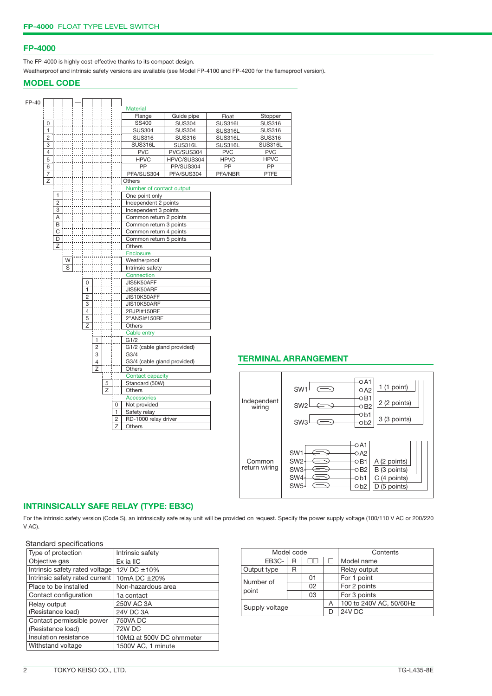#### **FP-4000**

The FP-4000 is highly cost-effective thanks to its compact design.

Weatherproof and intrinsic safety versions are available (see Model FP-4100 and FP-4200 for the flameproof version).

#### **MODEL CODE**

| <b>Material</b><br>Stopper<br>Flange<br>Guide pipe<br>Float<br>SS400<br><b>SUS304</b><br><b>SUS316L</b><br><b>SUS316</b><br>0<br>$\mathbf{1}$<br><b>SUS304</b><br><b>SUS304</b><br><b>SUS316</b><br>SUS316L<br>$\overline{c}$<br><b>SUS316</b><br><b>SUS316</b><br>SUS316L<br><b>SUS316</b><br>3<br>SUS316L<br><b>SUS316L</b><br>SUS316L<br><b>SUS316L</b><br>$\overline{4}$<br><b>PVC</b><br><b>PVC</b><br><b>PVC</b><br>PVC/SUS304<br>$\overline{5}$<br><b>HPVC</b><br>HPVC/SUS304<br><b>HPVC</b><br><b>HPVC</b><br>$\overline{PP}$<br>PP<br>PP/SUS304<br>PP<br>6<br>$\overline{7}$<br>PFA/SUS304<br>PFA/SUS304<br>PFA/NBR<br><b>PTFE</b><br>Z<br><b>Others</b><br>Number of contact output<br>1<br>One point only<br>$\overline{2}$<br>Independent 2 points<br>3<br>Independent 3 points<br>$\overline{A}$<br>Common return 2 points<br>B<br>Common return 3 points<br>$\overline{\mathrm{c}}$<br>Common return 4 points<br>$\overline{D}$<br>Common return 5 points<br>$\overline{z}$<br>Others<br>Enclosure<br>W<br>Weatherproof<br>S<br>Intrinsic safety<br>Connection<br>JIS5K50AFF<br>0<br>1<br>JIS5K50ARF<br>$\overline{2}$<br>JIS10K50AFF<br>$\overline{3}$<br>JIS10K50ARF<br>$\overline{4}$<br>2BJPI#150RF<br>5<br>2"ANSI#150RF<br>$\overline{z}$<br><b>Others</b><br>Cable entry<br>$\mathbf{1}$<br>G1/2<br>$\overline{2}$<br>G1/2 (cable gland provided)<br>3<br>G3/4<br><b>TERMINAL AF</b><br>4<br>G3/4 (cable gland provided)<br>$\overline{z}$<br>Others<br>Contact capacity<br>Standard (50W)<br>5<br>Z<br>Others<br>Accessories<br>Independent<br>Not provided<br>0<br>wiring<br>$\mathbf{1}$<br>Safety relay<br>RD-1000 relay driver<br>$\overline{c}$<br>Z<br><b>Others</b> | FP-40 |  |  |  |  |  |  |  |
|-------------------------------------------------------------------------------------------------------------------------------------------------------------------------------------------------------------------------------------------------------------------------------------------------------------------------------------------------------------------------------------------------------------------------------------------------------------------------------------------------------------------------------------------------------------------------------------------------------------------------------------------------------------------------------------------------------------------------------------------------------------------------------------------------------------------------------------------------------------------------------------------------------------------------------------------------------------------------------------------------------------------------------------------------------------------------------------------------------------------------------------------------------------------------------------------------------------------------------------------------------------------------------------------------------------------------------------------------------------------------------------------------------------------------------------------------------------------------------------------------------------------------------------------------------------------------------------------------------------------------------------------------------------------------------------------------|-------|--|--|--|--|--|--|--|
|                                                                                                                                                                                                                                                                                                                                                                                                                                                                                                                                                                                                                                                                                                                                                                                                                                                                                                                                                                                                                                                                                                                                                                                                                                                                                                                                                                                                                                                                                                                                                                                                                                                                                                 |       |  |  |  |  |  |  |  |
|                                                                                                                                                                                                                                                                                                                                                                                                                                                                                                                                                                                                                                                                                                                                                                                                                                                                                                                                                                                                                                                                                                                                                                                                                                                                                                                                                                                                                                                                                                                                                                                                                                                                                                 |       |  |  |  |  |  |  |  |
|                                                                                                                                                                                                                                                                                                                                                                                                                                                                                                                                                                                                                                                                                                                                                                                                                                                                                                                                                                                                                                                                                                                                                                                                                                                                                                                                                                                                                                                                                                                                                                                                                                                                                                 |       |  |  |  |  |  |  |  |
|                                                                                                                                                                                                                                                                                                                                                                                                                                                                                                                                                                                                                                                                                                                                                                                                                                                                                                                                                                                                                                                                                                                                                                                                                                                                                                                                                                                                                                                                                                                                                                                                                                                                                                 |       |  |  |  |  |  |  |  |
|                                                                                                                                                                                                                                                                                                                                                                                                                                                                                                                                                                                                                                                                                                                                                                                                                                                                                                                                                                                                                                                                                                                                                                                                                                                                                                                                                                                                                                                                                                                                                                                                                                                                                                 |       |  |  |  |  |  |  |  |
|                                                                                                                                                                                                                                                                                                                                                                                                                                                                                                                                                                                                                                                                                                                                                                                                                                                                                                                                                                                                                                                                                                                                                                                                                                                                                                                                                                                                                                                                                                                                                                                                                                                                                                 |       |  |  |  |  |  |  |  |
|                                                                                                                                                                                                                                                                                                                                                                                                                                                                                                                                                                                                                                                                                                                                                                                                                                                                                                                                                                                                                                                                                                                                                                                                                                                                                                                                                                                                                                                                                                                                                                                                                                                                                                 |       |  |  |  |  |  |  |  |
|                                                                                                                                                                                                                                                                                                                                                                                                                                                                                                                                                                                                                                                                                                                                                                                                                                                                                                                                                                                                                                                                                                                                                                                                                                                                                                                                                                                                                                                                                                                                                                                                                                                                                                 |       |  |  |  |  |  |  |  |
|                                                                                                                                                                                                                                                                                                                                                                                                                                                                                                                                                                                                                                                                                                                                                                                                                                                                                                                                                                                                                                                                                                                                                                                                                                                                                                                                                                                                                                                                                                                                                                                                                                                                                                 |       |  |  |  |  |  |  |  |
|                                                                                                                                                                                                                                                                                                                                                                                                                                                                                                                                                                                                                                                                                                                                                                                                                                                                                                                                                                                                                                                                                                                                                                                                                                                                                                                                                                                                                                                                                                                                                                                                                                                                                                 |       |  |  |  |  |  |  |  |
|                                                                                                                                                                                                                                                                                                                                                                                                                                                                                                                                                                                                                                                                                                                                                                                                                                                                                                                                                                                                                                                                                                                                                                                                                                                                                                                                                                                                                                                                                                                                                                                                                                                                                                 |       |  |  |  |  |  |  |  |
|                                                                                                                                                                                                                                                                                                                                                                                                                                                                                                                                                                                                                                                                                                                                                                                                                                                                                                                                                                                                                                                                                                                                                                                                                                                                                                                                                                                                                                                                                                                                                                                                                                                                                                 |       |  |  |  |  |  |  |  |
|                                                                                                                                                                                                                                                                                                                                                                                                                                                                                                                                                                                                                                                                                                                                                                                                                                                                                                                                                                                                                                                                                                                                                                                                                                                                                                                                                                                                                                                                                                                                                                                                                                                                                                 |       |  |  |  |  |  |  |  |
|                                                                                                                                                                                                                                                                                                                                                                                                                                                                                                                                                                                                                                                                                                                                                                                                                                                                                                                                                                                                                                                                                                                                                                                                                                                                                                                                                                                                                                                                                                                                                                                                                                                                                                 |       |  |  |  |  |  |  |  |
|                                                                                                                                                                                                                                                                                                                                                                                                                                                                                                                                                                                                                                                                                                                                                                                                                                                                                                                                                                                                                                                                                                                                                                                                                                                                                                                                                                                                                                                                                                                                                                                                                                                                                                 |       |  |  |  |  |  |  |  |
|                                                                                                                                                                                                                                                                                                                                                                                                                                                                                                                                                                                                                                                                                                                                                                                                                                                                                                                                                                                                                                                                                                                                                                                                                                                                                                                                                                                                                                                                                                                                                                                                                                                                                                 |       |  |  |  |  |  |  |  |
|                                                                                                                                                                                                                                                                                                                                                                                                                                                                                                                                                                                                                                                                                                                                                                                                                                                                                                                                                                                                                                                                                                                                                                                                                                                                                                                                                                                                                                                                                                                                                                                                                                                                                                 |       |  |  |  |  |  |  |  |
|                                                                                                                                                                                                                                                                                                                                                                                                                                                                                                                                                                                                                                                                                                                                                                                                                                                                                                                                                                                                                                                                                                                                                                                                                                                                                                                                                                                                                                                                                                                                                                                                                                                                                                 |       |  |  |  |  |  |  |  |
|                                                                                                                                                                                                                                                                                                                                                                                                                                                                                                                                                                                                                                                                                                                                                                                                                                                                                                                                                                                                                                                                                                                                                                                                                                                                                                                                                                                                                                                                                                                                                                                                                                                                                                 |       |  |  |  |  |  |  |  |
|                                                                                                                                                                                                                                                                                                                                                                                                                                                                                                                                                                                                                                                                                                                                                                                                                                                                                                                                                                                                                                                                                                                                                                                                                                                                                                                                                                                                                                                                                                                                                                                                                                                                                                 |       |  |  |  |  |  |  |  |
|                                                                                                                                                                                                                                                                                                                                                                                                                                                                                                                                                                                                                                                                                                                                                                                                                                                                                                                                                                                                                                                                                                                                                                                                                                                                                                                                                                                                                                                                                                                                                                                                                                                                                                 |       |  |  |  |  |  |  |  |
|                                                                                                                                                                                                                                                                                                                                                                                                                                                                                                                                                                                                                                                                                                                                                                                                                                                                                                                                                                                                                                                                                                                                                                                                                                                                                                                                                                                                                                                                                                                                                                                                                                                                                                 |       |  |  |  |  |  |  |  |
|                                                                                                                                                                                                                                                                                                                                                                                                                                                                                                                                                                                                                                                                                                                                                                                                                                                                                                                                                                                                                                                                                                                                                                                                                                                                                                                                                                                                                                                                                                                                                                                                                                                                                                 |       |  |  |  |  |  |  |  |
|                                                                                                                                                                                                                                                                                                                                                                                                                                                                                                                                                                                                                                                                                                                                                                                                                                                                                                                                                                                                                                                                                                                                                                                                                                                                                                                                                                                                                                                                                                                                                                                                                                                                                                 |       |  |  |  |  |  |  |  |
|                                                                                                                                                                                                                                                                                                                                                                                                                                                                                                                                                                                                                                                                                                                                                                                                                                                                                                                                                                                                                                                                                                                                                                                                                                                                                                                                                                                                                                                                                                                                                                                                                                                                                                 |       |  |  |  |  |  |  |  |
|                                                                                                                                                                                                                                                                                                                                                                                                                                                                                                                                                                                                                                                                                                                                                                                                                                                                                                                                                                                                                                                                                                                                                                                                                                                                                                                                                                                                                                                                                                                                                                                                                                                                                                 |       |  |  |  |  |  |  |  |
|                                                                                                                                                                                                                                                                                                                                                                                                                                                                                                                                                                                                                                                                                                                                                                                                                                                                                                                                                                                                                                                                                                                                                                                                                                                                                                                                                                                                                                                                                                                                                                                                                                                                                                 |       |  |  |  |  |  |  |  |
|                                                                                                                                                                                                                                                                                                                                                                                                                                                                                                                                                                                                                                                                                                                                                                                                                                                                                                                                                                                                                                                                                                                                                                                                                                                                                                                                                                                                                                                                                                                                                                                                                                                                                                 |       |  |  |  |  |  |  |  |
|                                                                                                                                                                                                                                                                                                                                                                                                                                                                                                                                                                                                                                                                                                                                                                                                                                                                                                                                                                                                                                                                                                                                                                                                                                                                                                                                                                                                                                                                                                                                                                                                                                                                                                 |       |  |  |  |  |  |  |  |
|                                                                                                                                                                                                                                                                                                                                                                                                                                                                                                                                                                                                                                                                                                                                                                                                                                                                                                                                                                                                                                                                                                                                                                                                                                                                                                                                                                                                                                                                                                                                                                                                                                                                                                 |       |  |  |  |  |  |  |  |
|                                                                                                                                                                                                                                                                                                                                                                                                                                                                                                                                                                                                                                                                                                                                                                                                                                                                                                                                                                                                                                                                                                                                                                                                                                                                                                                                                                                                                                                                                                                                                                                                                                                                                                 |       |  |  |  |  |  |  |  |
|                                                                                                                                                                                                                                                                                                                                                                                                                                                                                                                                                                                                                                                                                                                                                                                                                                                                                                                                                                                                                                                                                                                                                                                                                                                                                                                                                                                                                                                                                                                                                                                                                                                                                                 |       |  |  |  |  |  |  |  |
|                                                                                                                                                                                                                                                                                                                                                                                                                                                                                                                                                                                                                                                                                                                                                                                                                                                                                                                                                                                                                                                                                                                                                                                                                                                                                                                                                                                                                                                                                                                                                                                                                                                                                                 |       |  |  |  |  |  |  |  |
|                                                                                                                                                                                                                                                                                                                                                                                                                                                                                                                                                                                                                                                                                                                                                                                                                                                                                                                                                                                                                                                                                                                                                                                                                                                                                                                                                                                                                                                                                                                                                                                                                                                                                                 |       |  |  |  |  |  |  |  |
|                                                                                                                                                                                                                                                                                                                                                                                                                                                                                                                                                                                                                                                                                                                                                                                                                                                                                                                                                                                                                                                                                                                                                                                                                                                                                                                                                                                                                                                                                                                                                                                                                                                                                                 |       |  |  |  |  |  |  |  |
|                                                                                                                                                                                                                                                                                                                                                                                                                                                                                                                                                                                                                                                                                                                                                                                                                                                                                                                                                                                                                                                                                                                                                                                                                                                                                                                                                                                                                                                                                                                                                                                                                                                                                                 |       |  |  |  |  |  |  |  |
|                                                                                                                                                                                                                                                                                                                                                                                                                                                                                                                                                                                                                                                                                                                                                                                                                                                                                                                                                                                                                                                                                                                                                                                                                                                                                                                                                                                                                                                                                                                                                                                                                                                                                                 |       |  |  |  |  |  |  |  |
|                                                                                                                                                                                                                                                                                                                                                                                                                                                                                                                                                                                                                                                                                                                                                                                                                                                                                                                                                                                                                                                                                                                                                                                                                                                                                                                                                                                                                                                                                                                                                                                                                                                                                                 |       |  |  |  |  |  |  |  |
|                                                                                                                                                                                                                                                                                                                                                                                                                                                                                                                                                                                                                                                                                                                                                                                                                                                                                                                                                                                                                                                                                                                                                                                                                                                                                                                                                                                                                                                                                                                                                                                                                                                                                                 |       |  |  |  |  |  |  |  |
|                                                                                                                                                                                                                                                                                                                                                                                                                                                                                                                                                                                                                                                                                                                                                                                                                                                                                                                                                                                                                                                                                                                                                                                                                                                                                                                                                                                                                                                                                                                                                                                                                                                                                                 |       |  |  |  |  |  |  |  |
|                                                                                                                                                                                                                                                                                                                                                                                                                                                                                                                                                                                                                                                                                                                                                                                                                                                                                                                                                                                                                                                                                                                                                                                                                                                                                                                                                                                                                                                                                                                                                                                                                                                                                                 |       |  |  |  |  |  |  |  |
|                                                                                                                                                                                                                                                                                                                                                                                                                                                                                                                                                                                                                                                                                                                                                                                                                                                                                                                                                                                                                                                                                                                                                                                                                                                                                                                                                                                                                                                                                                                                                                                                                                                                                                 |       |  |  |  |  |  |  |  |
|                                                                                                                                                                                                                                                                                                                                                                                                                                                                                                                                                                                                                                                                                                                                                                                                                                                                                                                                                                                                                                                                                                                                                                                                                                                                                                                                                                                                                                                                                                                                                                                                                                                                                                 |       |  |  |  |  |  |  |  |
|                                                                                                                                                                                                                                                                                                                                                                                                                                                                                                                                                                                                                                                                                                                                                                                                                                                                                                                                                                                                                                                                                                                                                                                                                                                                                                                                                                                                                                                                                                                                                                                                                                                                                                 |       |  |  |  |  |  |  |  |
|                                                                                                                                                                                                                                                                                                                                                                                                                                                                                                                                                                                                                                                                                                                                                                                                                                                                                                                                                                                                                                                                                                                                                                                                                                                                                                                                                                                                                                                                                                                                                                                                                                                                                                 |       |  |  |  |  |  |  |  |
|                                                                                                                                                                                                                                                                                                                                                                                                                                                                                                                                                                                                                                                                                                                                                                                                                                                                                                                                                                                                                                                                                                                                                                                                                                                                                                                                                                                                                                                                                                                                                                                                                                                                                                 |       |  |  |  |  |  |  |  |

## **ARRANGEMENT**



#### **INTRINSICALLY SAFE RELAY (TYPE: EB3C)**

For the intrinsic safety version (Code S), an intrinsically safe relay unit will be provided on request. Specify the power supply voltage (100/110 V AC or 200/220 V AC).

#### Standard specifications

| Type of protection             | Intrinsic safety                 |
|--------------------------------|----------------------------------|
| Objective gas                  | Ex ia IIC                        |
| Intrinsic safety rated voltage | 12V DC ±10%                      |
| Intrinsic safety rated current | 10mA DC ±20%                     |
| Place to be installed          | Non-hazardous area               |
| Contact configuration          | 1a contact                       |
| Relay output                   | 250V AC 3A                       |
| (Resistance load)              | 24V DC 3A                        |
| Contact permissible power      | 750VA DC                         |
| (Resistance load)              | 72W DC                           |
| Insulation resistance          | 10 $M\Omega$ at 500V DC ohmmeter |
| Withstand voltage              | 1500V AC, 1 minute               |

| Model code     |   |    | Contents                |              |  |
|----------------|---|----|-------------------------|--------------|--|
| EB3C-          | R |    |                         | Model name   |  |
| Output type    | R |    |                         | Relay output |  |
| Number of      |   | 01 |                         | For 1 point  |  |
|                |   | 02 |                         | For 2 points |  |
| point          |   | 03 |                         | For 3 points |  |
|                |   | А  | 100 to 240V AC, 50/60Hz |              |  |
| Supply voltage |   |    |                         | 24V DC       |  |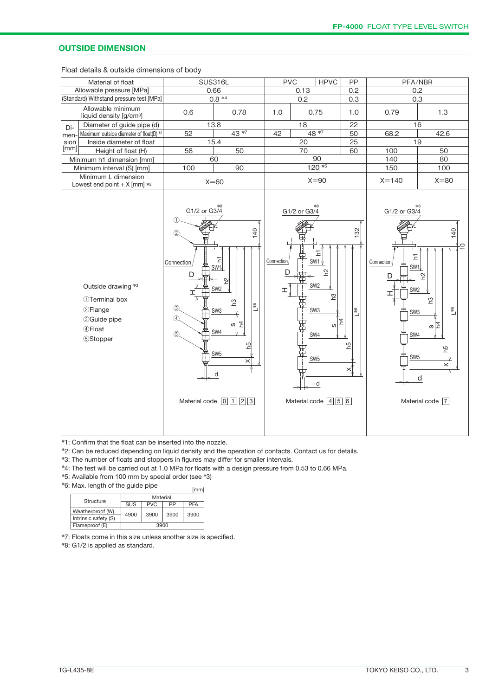#### **OUTSIDE DIMENSION**

Float details & outside dimensions of body

| Material of float                                                                                                  | <b>SUS316L</b>                                                                         |                                                                                                                                                                                                                                                | <b>PVC</b>           |              | <b>HPVC</b>                                                                                                                                 | PP                    |                                                                                                                                        | PFA/NBR                                                                                              |
|--------------------------------------------------------------------------------------------------------------------|----------------------------------------------------------------------------------------|------------------------------------------------------------------------------------------------------------------------------------------------------------------------------------------------------------------------------------------------|----------------------|--------------|---------------------------------------------------------------------------------------------------------------------------------------------|-----------------------|----------------------------------------------------------------------------------------------------------------------------------------|------------------------------------------------------------------------------------------------------|
| Allowable pressure [MPa]<br>0.66                                                                                   |                                                                                        |                                                                                                                                                                                                                                                |                      | 0.13         |                                                                                                                                             | 0.2                   |                                                                                                                                        | 0.2                                                                                                  |
| (Standard) Withstand pressure test [MPa]                                                                           |                                                                                        | $0.8 *4$                                                                                                                                                                                                                                       |                      | 0.2          |                                                                                                                                             | 0.3                   |                                                                                                                                        | 0.3                                                                                                  |
| Allowable minimum<br>liquid density [g/cm <sup>3</sup> ]                                                           | 0.6                                                                                    | 0.78                                                                                                                                                                                                                                           | 0.75<br>1.0<br>1.0   |              |                                                                                                                                             | 0.79                  | 1.3                                                                                                                                    |                                                                                                      |
| Diameter of guide pipe (d)<br>Di-                                                                                  |                                                                                        | 13.8                                                                                                                                                                                                                                           |                      | 18           |                                                                                                                                             | 22                    |                                                                                                                                        | 16                                                                                                   |
| Maximum outside diameter of float(D) *1<br>men-                                                                    | 52                                                                                     | 43 *7                                                                                                                                                                                                                                          | 42                   |              | 48 *7                                                                                                                                       | 50                    | 68.2                                                                                                                                   | 42.6                                                                                                 |
| Inside diameter of float<br>sion                                                                                   |                                                                                        | 15.4                                                                                                                                                                                                                                           |                      | 20           |                                                                                                                                             | 25                    |                                                                                                                                        | 19                                                                                                   |
| [mm]<br>Height of float (H)                                                                                        | 58                                                                                     | 50                                                                                                                                                                                                                                             |                      | 70           |                                                                                                                                             | 60                    | 100                                                                                                                                    | 50                                                                                                   |
| Minimum h1 dimension [mm]                                                                                          |                                                                                        | 60                                                                                                                                                                                                                                             |                      |              | 90                                                                                                                                          |                       | 140                                                                                                                                    | 80                                                                                                   |
| Minimum interval (S) [mm]                                                                                          | 100                                                                                    | 90                                                                                                                                                                                                                                             |                      |              | $120*5$                                                                                                                                     |                       | 150                                                                                                                                    | 100                                                                                                  |
| Minimum L dimension<br>Lowest end point + $X$ [mm] $*2$                                                            |                                                                                        | $X=60$                                                                                                                                                                                                                                         |                      |              | $X = 90$                                                                                                                                    |                       | $X = 140$                                                                                                                              | $X = 80$                                                                                             |
| Outside drawing *3<br>1)Terminal box<br><b>2Flange</b><br><b>3 Guide pipe</b><br><b>4</b> Float<br><b>5Stopper</b> | $G1/2$ or $G3/4$<br>(1)<br>$\circled{2}$<br>Connection<br>(3)<br>$\overline{4}$<br>(5) | 140<br>Ξ<br>SW <sub>1</sub><br>얻<br>SW <sub>2</sub><br>54<br>$L^{*6}$<br>SW <sub>3</sub><br>$\overline{4}$<br>w<br>SW4<br>54<br>SW <sub>5</sub><br>$\boldsymbol{\times}$<br>d<br>Material code $\boxed{0}$ $\boxed{1}$ $\boxed{2}$ $\boxed{3}$ | Connection<br>D<br>ェ | G1/2 or G3/4 | 도<br>SW1 $\sqrt$<br>얻<br>SW <sub>2</sub><br>ဥ<br>SW <sub>3</sub><br>74<br>w<br>SW4<br>SW <sub>5</sub><br>d<br>Material code $\boxed{4}$ 5 6 | 132<br>$L^{*6}$<br>Ъq | G1/2 or G3/4<br>$\overline{\mathbb{E}}$<br>Connection<br>SW1<br>D<br>SW <sub>2</sub><br>ェ<br>SW <sub>3</sub><br>SW4<br>SW <sub>5</sub> | 140<br>⊭≘<br>얻<br>ဥ<br>$L^{*6}$<br>თ $\vert \vec{z} \vert$<br>5ų<br>$\times$<br>d<br>Material code 7 |

✽1: Confirm that the float can be inserted into the nozzle.

✽2: Can be reduced depending on liquid density and the operation of contacts. Contact us for details.

✽3: The number of floats and stoppers in figures may differ for smaller intervals.

✽4: The test will be carried out at 1.0 MPa for floats with a design pressure from 0.53 to 0.66 MPa.

✽5: Available from 100 mm by special order (see ✽3)

✽6: Max. length of the guide pipe

| Structure            | Material |            |      |            |  |  |  |
|----------------------|----------|------------|------|------------|--|--|--|
|                      | SUS      | <b>PVC</b> | PP   | <b>PFA</b> |  |  |  |
| Weatherproof (W)     | 4900     | 3900       | 3900 | 3900       |  |  |  |
| Intrinsic safety (S) |          |            |      |            |  |  |  |
| Flameproof (E)       |          | 3900       |      |            |  |  |  |

✽7: Floats come in this size unless another size is specified.

✽8: G1/2 is applied as standard.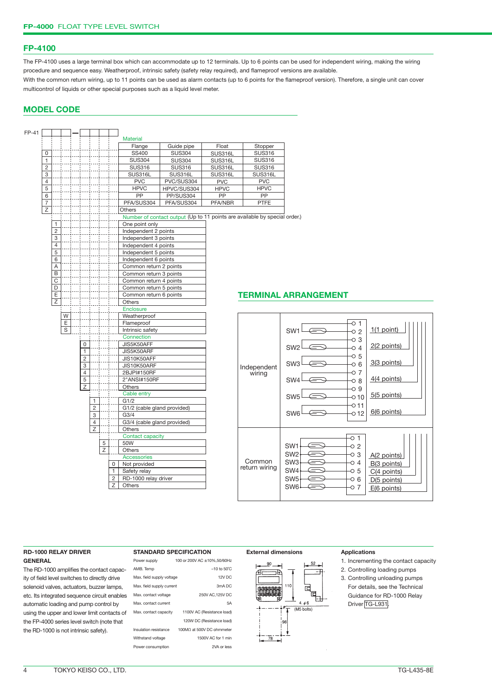#### **FP-4100**

The FP-4100 uses a large terminal box which can accommodate up to 12 terminals. Up to 6 points can be used for independent wiring, making the wiring procedure and sequence easy. Weatherproof, intrinsic safety (safety relay required), and flameproof versions are available. With the common return wiring, up to 11 points can be used as alarm contacts (up to 6 points for the flameproof version). Therefore, a single unit can cover multicontrol of liquids or other special purposes such as a liquid level meter.

#### **MODEL CODE**



#### **TERMINAL ARRANGEMENT**



#### **RD-1000 RELAY DRIVER GENERAL**

The RD-1000 amplifies the contact capacity of field level switches to directly drive solenoid valves, actuators, buzzer lamps, etc. Its integrated sequence circuit enables automatic loading and pump control by using the upper and lower limit contacts of the FP-4000 series level switch (note that the RD-1000 is not intrinsic safety).

#### **STANDARD SPECIFICATION**

| Power supply              | 100 or 200V AC +10%,50/60Hz |
|---------------------------|-----------------------------|
| AMB, Temp                 | $-10$ to $50^{\circ}$ C     |
| Max. field supply voltage | 12V DC                      |
| Max. field supply current | 3mA DC                      |
| Max. contact voltage      | 250V AC, 125V DC            |
| Max, contact current      | 5A                          |
| Max. contact capacity     | 1100V AC (Resistance load)  |
|                           | 120W DC (Resistance load)   |
| Insulation resistance     | 100MΩ at 500V DC ohmmeter   |
| Withstand voltage         | 1500V AC for 1 min          |
| Power consumption         | 2VA or less                 |
|                           |                             |



- 1. Incrementing the contact capacity
- 2. Controlling loading pumps
- 3. Controlling unloading pumps For details, see the Technical Guidance for RD-1000 Relay Driver TG-L931.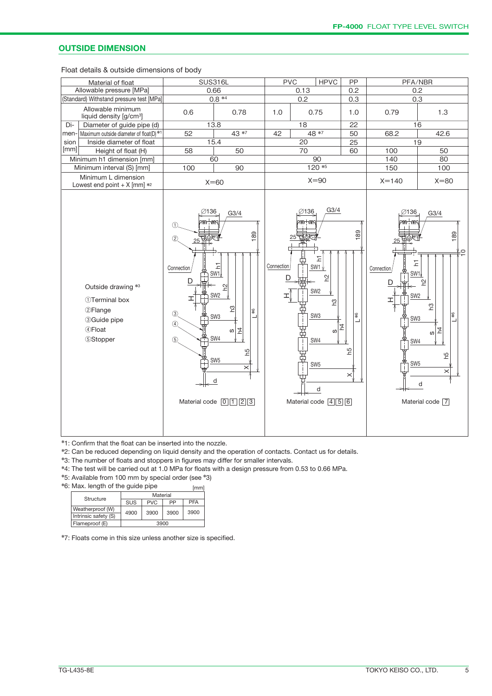#### **OUTSIDE DIMENSION**

Float details & outside dimensions of body

| Material of float                                                                                            | <b>SUS316L</b>                                                                                                                |                                                                                                                                                                                                                                               | <b>PVC</b><br><b>HPVC</b> |                      |                                                                                                                                                                   | PP                                                       | PFA/NBR                                                                                                       |                                                                                                                         |
|--------------------------------------------------------------------------------------------------------------|-------------------------------------------------------------------------------------------------------------------------------|-----------------------------------------------------------------------------------------------------------------------------------------------------------------------------------------------------------------------------------------------|---------------------------|----------------------|-------------------------------------------------------------------------------------------------------------------------------------------------------------------|----------------------------------------------------------|---------------------------------------------------------------------------------------------------------------|-------------------------------------------------------------------------------------------------------------------------|
| Allowable pressure [MPa]                                                                                     | 0.66                                                                                                                          | 0.13                                                                                                                                                                                                                                          |                           |                      | 0.2                                                                                                                                                               | 0.2                                                      |                                                                                                               |                                                                                                                         |
| (Standard) Withstand pressure test [MPa]                                                                     | $0.8 * 4$                                                                                                                     | 0.2                                                                                                                                                                                                                                           |                           |                      | 0.3                                                                                                                                                               |                                                          | 0.3                                                                                                           |                                                                                                                         |
| Allowable minimum<br>liquid density [g/cm <sup>3</sup> ]                                                     | 0.6<br>0.78                                                                                                                   |                                                                                                                                                                                                                                               | 1.0                       |                      | 0.75                                                                                                                                                              |                                                          | 0.79                                                                                                          | 1.3                                                                                                                     |
| Diameter of guide pipe (d)<br>Di-                                                                            | 13.8                                                                                                                          | 18                                                                                                                                                                                                                                            |                           |                      | 22<br>50                                                                                                                                                          |                                                          | 16                                                                                                            |                                                                                                                         |
| Maximum outside diameter of float(D)*1<br>men-                                                               | 52                                                                                                                            | 42                                                                                                                                                                                                                                            | $48 * 7$                  |                      |                                                                                                                                                                   | 68.2                                                     | 42.6                                                                                                          |                                                                                                                         |
| Inside diameter of float<br>sion                                                                             | 15.4                                                                                                                          | 20                                                                                                                                                                                                                                            |                           |                      | 25                                                                                                                                                                |                                                          | 19                                                                                                            |                                                                                                                         |
| [mm]<br>Height of float (H)                                                                                  | 58                                                                                                                            | 50                                                                                                                                                                                                                                            |                           | 70                   |                                                                                                                                                                   | 60                                                       | 100                                                                                                           | 50                                                                                                                      |
| Minimum h1 dimension [mm]                                                                                    |                                                                                                                               | 60                                                                                                                                                                                                                                            |                           |                      | 90                                                                                                                                                                |                                                          | 140                                                                                                           | 80                                                                                                                      |
| Minimum interval (S) [mm]                                                                                    | 100                                                                                                                           | 90                                                                                                                                                                                                                                            |                           |                      | $120*5$                                                                                                                                                           |                                                          | 150                                                                                                           | 100                                                                                                                     |
| Minimum L dimension<br>Lowest end point + $X$ [mm] $*$ <sup>2</sup>                                          |                                                                                                                               | $X=60$                                                                                                                                                                                                                                        |                           |                      | $X = 90$                                                                                                                                                          |                                                          | $X = 140$                                                                                                     | $X = 80$                                                                                                                |
| Outside drawing *3<br>1) Terminal box<br><b>2Flange</b><br><b>33Guide pipe</b><br>4 Float<br><b>5Stopper</b> | ∅136<br>2007.HW<br>(1)<br>(2)<br>25<br>Connection<br>D<br>$\circled{3}$<br>т<br>$\circled{4}$<br>$\frac{4}{1}$<br>$\circledS$ | G3/4<br>189<br>Ξ<br>SW1<br>임<br>SW <sub>2</sub><br>$\mathbf{S}$<br>\$<br>SW <sub>3</sub><br>┙<br>$\overline{z}$<br>$\omega$<br>SW4<br>54<br>SW <sub>5</sub><br>$\times$<br>d<br>Material code $\boxed{0}$ $\boxed{1}$ $\boxed{2}$ $\boxed{3}$ | Connection<br>D<br>ェ      | ∅136<br>SUN ANK<br>囗 | G3/4<br>도<br>$SW1_V$<br>$\tilde{E}$<br>SW <sub>2</sub><br>ဥ<br>SW <sub>3</sub><br>w<br>SW4<br>SW <sub>5</sub><br>d<br>Material code $\boxed{4}\boxed{5}\boxed{6}$ | 189<br>$\frac{4}{3}$<br>$\overline{4}$<br>۵٦<br>$\times$ | ∅136<br>71Mr+VNY<br>Ξ<br>Connection<br>D<br>SW <sub>2</sub><br>ェ<br>SW <sub>3</sub><br>SW4<br>SW <sub>5</sub> | G3/4<br>189<br>⊊¥<br>SW <sub>1</sub><br>얻<br>ဥ<br>1\$<br>$\overline{4}$<br>S)<br>Ъq<br>$\times$<br>d<br>Material code 7 |

✽1: Confirm that the float can be inserted into the nozzle.

✽2: Can be reduced depending on liquid density and the operation of contacts. Contact us for details.

✽3: The number of floats and stoppers in figures may differ for smaller intervals.

✽4: The test will be carried out at 1.0 MPa for floats with a design pressure from 0.53 to 0.66 MPa.

✽5: Available from 100 mm by special order (see ✽3)

✽6: Max. length of the guide pipe  $[mm]$ 

| Structure            | Material   |            |      |            |  |  |  |
|----------------------|------------|------------|------|------------|--|--|--|
|                      | <b>SUS</b> | <b>PVC</b> | РP   | <b>PFA</b> |  |  |  |
| Weatherproof (W)     | 4900       | 3900       | 3900 | 3900       |  |  |  |
| Intrinsic safety (S) |            |            |      |            |  |  |  |
| Flameproof (E)       |            | 3900       |      |            |  |  |  |

✽7: Floats come in this size unless another size is specified.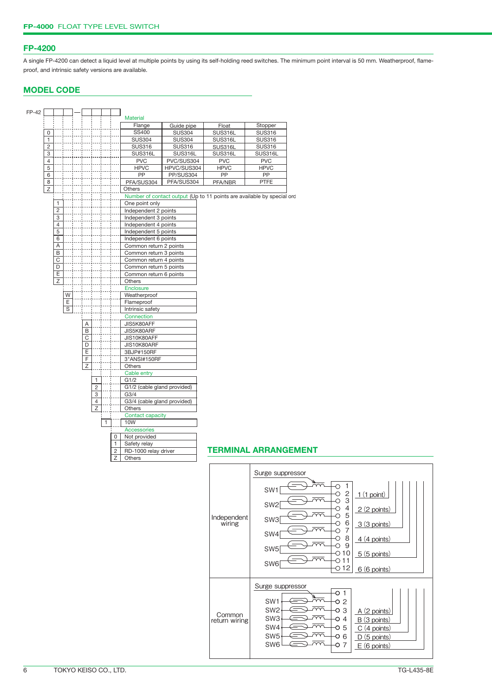#### **FP-4200**

A single FP-4200 can detect a liquid level at multiple points by using its self-holding reed switches. The minimum point interval is 50 mm. Weatherproof, flameproof, and intrinsic safety versions are available.

#### **MODEL CODE**

| FP-42 |                |                         |                |                |                |   |                |                             |               |             |                                                                        |
|-------|----------------|-------------------------|----------------|----------------|----------------|---|----------------|-----------------------------|---------------|-------------|------------------------------------------------------------------------|
|       |                |                         |                |                |                |   |                | <b>Material</b>             |               |             |                                                                        |
|       |                |                         |                |                |                |   |                | Flange                      | Guide pipe    | Float       | Stopper                                                                |
|       | 0              |                         |                |                |                |   |                | SS400                       | <b>SUS304</b> | SUS316L     | <b>SUS316</b>                                                          |
|       | $\mathbf{1}$   |                         |                |                |                |   |                | <b>SUS304</b>               | <b>SUS304</b> | SUS316L     | <b>SUS316</b>                                                          |
|       | $\overline{c}$ |                         |                |                |                |   |                | <b>SUS316</b>               | <b>SUS316</b> | SUS316L     | <b>SUS316</b>                                                          |
|       | 3              |                         |                |                |                |   |                | SUS316L                     | SUS316L       | SUS316L     | SUS316L                                                                |
|       | $\overline{4}$ |                         |                |                |                |   |                | <b>PVC</b>                  | PVC/SUS304    | <b>PVC</b>  | <b>PVC</b>                                                             |
|       | 5              |                         |                |                |                |   |                | <b>HPVC</b>                 | HPVC/SUS304   | <b>HPVC</b> | <b>HPVC</b>                                                            |
|       | 6              |                         |                |                |                |   |                | PP                          | PP/SUS304     | PP          | PP                                                                     |
|       | 8              |                         |                |                |                |   |                | PFA/SUS304                  | PFA/SUS304    | PFA/NBR     | <b>PTFE</b>                                                            |
|       | $\overline{z}$ |                         |                |                |                |   |                | <b>Others</b>               |               |             |                                                                        |
|       |                |                         |                |                |                |   |                |                             |               |             | Number of contact output (Up to 11 points are available by special orc |
|       |                | $\mathbf{1}$            |                |                |                |   |                | One point only              |               |             |                                                                        |
|       |                | $\overline{c}$          |                |                |                |   |                | Independent 2 points        |               |             |                                                                        |
|       |                | $\overline{3}$          |                |                |                |   |                | Independent 3 points        |               |             |                                                                        |
|       |                | $\overline{4}$          |                |                |                |   |                | Independent 4 points        |               |             |                                                                        |
|       |                | $\overline{5}$          |                |                |                |   |                | Independent 5 points        |               |             |                                                                        |
|       |                | 6                       |                |                |                |   |                | Independent 6 points        |               |             |                                                                        |
|       |                | Α                       |                |                |                |   |                | Common return 2 points      |               |             |                                                                        |
|       |                | $\overline{B}$          |                |                |                |   |                | Common return 3 points      |               |             |                                                                        |
|       |                | $\overline{\mathrm{c}}$ |                |                |                |   |                | Common return 4 points      |               |             |                                                                        |
|       |                | D                       |                |                |                |   |                | Common return 5 points      |               |             |                                                                        |
|       |                | E                       |                |                |                |   |                | Common return 6 points      |               |             |                                                                        |
|       |                | $\overline{z}$          |                |                |                |   |                | Others                      |               |             |                                                                        |
|       |                |                         |                |                |                |   |                | Enclosure                   |               |             |                                                                        |
|       |                |                         | W              |                |                |   |                | Weatherproof                |               |             |                                                                        |
|       |                |                         | $\overline{E}$ |                |                |   |                | Flameproof                  |               |             |                                                                        |
|       |                |                         | $\overline{s}$ |                |                |   |                | Intrinsic safety            |               |             |                                                                        |
|       |                |                         |                |                |                |   |                | Connection                  |               |             |                                                                        |
|       |                |                         |                | Α              |                |   |                | JIS5K80AFF                  |               |             |                                                                        |
|       |                |                         |                | B              |                |   |                | JIS5K80ARF                  |               |             |                                                                        |
|       |                |                         |                | $\overline{C}$ |                |   |                | JIS10K80AFF                 |               |             |                                                                        |
|       |                |                         |                | D              |                |   |                | JIS10K80ARF                 |               |             |                                                                        |
|       |                |                         |                | Ε              |                |   |                | 3BJP#150RF                  |               |             |                                                                        |
|       |                |                         |                | F              |                |   |                | 3"ANSI#150RF                |               |             |                                                                        |
|       |                |                         |                | Z              |                |   |                | Others                      |               |             |                                                                        |
|       |                |                         |                |                |                |   |                | Cable entry                 |               |             |                                                                        |
|       |                |                         |                |                | $\mathbf{1}$   |   |                | G1/2                        |               |             |                                                                        |
|       |                |                         |                |                | $\overline{c}$ |   |                | G1/2 (cable gland provided) |               |             |                                                                        |
|       |                |                         |                |                | 3              |   |                | G3/4                        |               |             |                                                                        |
|       |                |                         |                |                | $\overline{4}$ |   |                | G3/4 (cable gland provided) |               |             |                                                                        |
|       |                |                         |                |                | Z              |   |                | Others                      |               |             |                                                                        |
|       |                |                         |                |                |                |   |                | <b>Contact capacity</b>     |               |             |                                                                        |
|       |                |                         |                |                |                | 1 |                | 10W                         |               |             |                                                                        |
|       |                |                         |                |                |                |   |                | Accessories                 |               |             |                                                                        |
|       |                |                         |                |                |                |   | 0              | Not provided                |               |             |                                                                        |
|       |                |                         |                |                |                |   | 1              | Safety relay                |               |             |                                                                        |
|       |                |                         |                |                |                |   | $\overline{c}$ | RD-1000 relay driver        |               |             | <b>TERMINAL ARRANGEMENT</b>                                            |
|       |                |                         |                |                |                |   | Ζ              | Others                      |               |             |                                                                        |
|       |                |                         |                |                |                |   |                |                             |               |             |                                                                        |

#### Surge suppressor  $\circ$ 1 SW1  $\overline{\circ}$ 1(1 point) 2  $\circ$ SW2 3  $\overline{\circ}$ 2(2 points) 4  $\overline{\circ}$ 5 Independent wiring SW3  $\circ$ 3(3 points) 6  $\overline{\circ}$ 7 SW4  $\overline{\circ}$ 8 4(4 points)  $\overline{\circ}$  9 SW5  $-010$ 5(5 points)  $-011$  $SW6 \rightarrow 11$ 6(6 points) Surge suppressor  $\overline{\circ}$  1  $\frac{1}{2}$ SW1  $-0.2$ SW2  $\qquad \qquad \Longleftrightarrow$  $\overline{2\overline{2}}$  $-0.3$ A(2 points) Common return wiringSW3  $\Longleftrightarrow$  $\overline{\sim}$  $-04$ B (3 points) SW4  $\Longleftrightarrow$  $\overline{\sim}$  $-0.5$ C (4 points) SW5  $\bigoplus \overline{m}$  $-06$ D (5 points) SW6 ⇔™  $-0$  7  $E(6 \text{ points})$